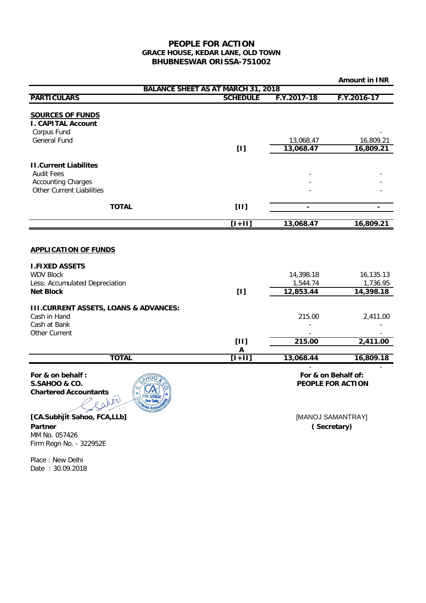## **PEOPLE FOR ACTION GRACE HOUSE, KEDAR LANE, OLD TOWN BHUBNESWAR ORISSA-751002**

|                                                    |                                           |                                          | <b>Amount in INR</b>     |
|----------------------------------------------------|-------------------------------------------|------------------------------------------|--------------------------|
|                                                    | <b>BALANCE SHEET AS AT MARCH 31, 2018</b> |                                          |                          |
| <b>PARTICULARS</b>                                 | <b>SCHEDULE</b>                           | F.Y.2017-18                              | F.Y.2016-17              |
| <b>SOURCES OF FUNDS</b>                            |                                           |                                          |                          |
| <b>I. CAPITAL Account</b>                          |                                           |                                          |                          |
| Corpus Fund                                        |                                           |                                          |                          |
| <b>General Fund</b>                                |                                           | 13,068.47                                | 16,809.21                |
|                                                    | [1]                                       | 13,068.47                                | 16,809.21                |
| <b>II.Current Liabilites</b>                       |                                           |                                          |                          |
| <b>Audit Fees</b>                                  |                                           |                                          |                          |
| <b>Accounting Charges</b>                          |                                           |                                          |                          |
| Other Current Liabilities                          |                                           |                                          |                          |
| <b>TOTAL</b>                                       | [11]                                      | $\blacksquare$                           | $\overline{\phantom{0}}$ |
|                                                    |                                           |                                          |                          |
|                                                    | $[1+11]$                                  | 13,068.47                                | 16,809.21                |
|                                                    |                                           |                                          |                          |
| <b>APPLICATION OF FUNDS</b>                        |                                           |                                          |                          |
|                                                    |                                           |                                          |                          |
| <b>I.FIXED ASSETS</b>                              |                                           |                                          |                          |
| <b>WDV Block</b><br>Less: Accumulated Depreciation |                                           | 14,398.18<br>1,544.74                    | 16,135.13<br>1,736.95    |
| <b>Net Block</b>                                   | [1]                                       | 12,853.44                                | 14,398.18                |
|                                                    |                                           |                                          |                          |
| <b>III.CURRENT ASSETS, LOANS &amp; ADVANCES:</b>   |                                           |                                          |                          |
| Cash in Hand                                       |                                           | 215.00                                   | 2,411.00                 |
| Cash at Bank                                       |                                           |                                          |                          |
| Other Current                                      |                                           |                                          |                          |
|                                                    | [11]<br>A                                 | 215.00                                   | 2,411.00                 |
| <b>TOTAL</b>                                       | $[1+1]$                                   | 13,068.44                                | 16,809.18                |
|                                                    |                                           |                                          |                          |
| For & on behalf:<br><b>S.SAHOO &amp; CO.</b>       |                                           | For & on Behalf of:<br>PEOPLE FOR ACTION |                          |
| <b>Chartered Accountants</b>                       |                                           |                                          |                          |
|                                                    |                                           |                                          |                          |
|                                                    |                                           |                                          |                          |
| [CA.Subhjit Sahoo, FCA,LLb]                        |                                           |                                          | [MANOJ SAMANTRAY]        |

**( Secretary)**

**Partner** MM No. 057426 Firm Regn No. - 322952E

Place : New Delhi Date : 30.09.2018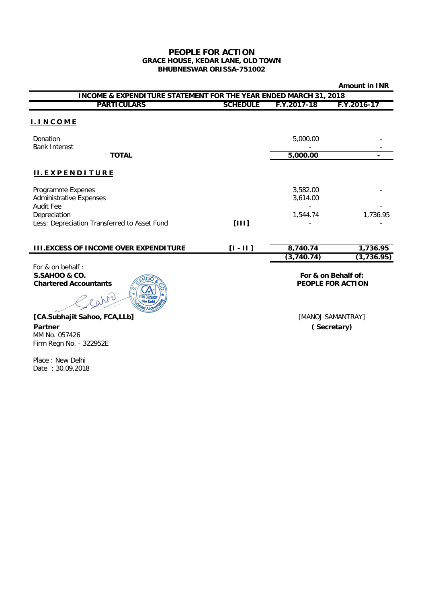## **PEOPLE FOR ACTION GRACE HOUSE, KEDAR LANE, OLD TOWN BHUBNESWAR ORISSA-751002**

|                                                                             |                 |                      | <b>Amount in INR</b>                     |
|-----------------------------------------------------------------------------|-----------------|----------------------|------------------------------------------|
| <b>INCOME &amp; EXPENDITURE STATEMENT FOR THE YEAR ENDED MARCH 31, 2018</b> |                 |                      |                                          |
| <b>PARTICULARS</b>                                                          | <b>SCHEDULE</b> | F.Y.2017-18          | F.Y.2016-17                              |
| <b>I. INCOME</b>                                                            |                 |                      |                                          |
| Donation<br><b>Bank Interest</b>                                            |                 | 5,000.00             |                                          |
| <b>TOTAL</b>                                                                |                 | 5,000.00             |                                          |
| <b>II.EXPENDITURE</b>                                                       |                 |                      |                                          |
| Programme Expenes<br><b>Administrative Expenses</b><br>Audit Fee            |                 | 3,582.00<br>3,614.00 |                                          |
| Depreciation<br>Less: Depreciation Transferred to Asset Fund                | [111]           | 1,544.74             | 1,736.95                                 |
| <b>III.EXCESS OF INCOME OVER EXPENDITURE</b>                                | $[1 - 11]$      | 8,740.74             | 1,736.95                                 |
|                                                                             |                 | (3,740.74)           | (1, 736.95)                              |
| For & on behalf:<br>S.SAHOO & CO.<br><b>Chartered Accountants</b>           |                 |                      | For & on Behalf of:<br>PEOPLE FOR ACTION |
| eator<br>[CA.Subhajit Sahoo, FCA,LLb]                                       |                 |                      | [MANOJ SAMANTRAY]                        |

**( Secretary)**

**Partner** MM No. 057426 Firm Regn No. - 322952E

Place : New Delhi Date : 30.09.2018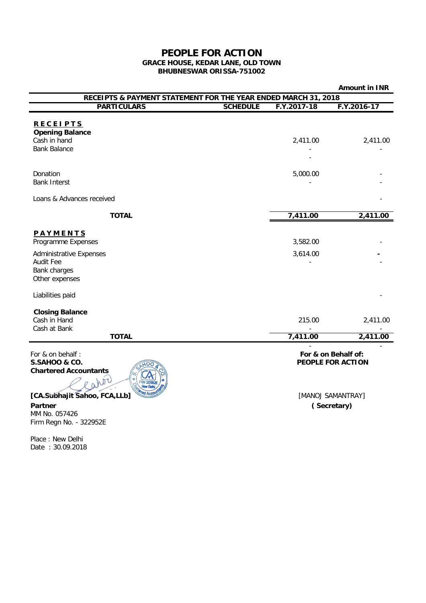## **PEOPLE FOR ACTION GRACE HOUSE, KEDAR LANE, OLD TOWN BHUBNESWAR ORISSA-751002**

|                                                                |                 |                   | <b>Amount in INR</b> |
|----------------------------------------------------------------|-----------------|-------------------|----------------------|
| RECEIPTS & PAYMENT STATEMENT FOR THE YEAR ENDED MARCH 31, 2018 |                 |                   |                      |
| <b>PARTICULARS</b>                                             | <b>SCHEDULE</b> | F.Y.2017-18       | F.Y.2016-17          |
|                                                                |                 |                   |                      |
| <b>RECEIPTS</b><br><b>Opening Balance</b>                      |                 |                   |                      |
| Cash in hand                                                   |                 | 2,411.00          | 2,411.00             |
| <b>Bank Balance</b>                                            |                 |                   |                      |
|                                                                |                 |                   |                      |
| Donation                                                       |                 | 5,000.00          |                      |
| <b>Bank Interst</b>                                            |                 |                   |                      |
|                                                                |                 |                   |                      |
| Loans & Advances received                                      |                 |                   |                      |
| <b>TOTAL</b>                                                   |                 | 7,411.00          | 2,411.00             |
|                                                                |                 |                   |                      |
| PAYMENTS<br>Programme Expenses                                 |                 | 3,582.00          |                      |
|                                                                |                 |                   |                      |
| <b>Administrative Expenses</b>                                 |                 | 3,614.00          |                      |
| <b>Audit Fee</b><br>Bank charges                               |                 |                   |                      |
| Other expenses                                                 |                 |                   |                      |
|                                                                |                 |                   |                      |
| Liabilities paid                                               |                 |                   |                      |
| <b>Closing Balance</b>                                         |                 |                   |                      |
| Cash in Hand                                                   |                 | 215.00            | 2,411.00             |
| Cash at Bank                                                   |                 |                   |                      |
| <b>TOTAL</b>                                                   |                 | 7,411.00          | 2,411.00             |
| For & on behalf:                                               |                 |                   | For & on Behalf of:  |
| <b>S.SAHOO &amp; CO.</b>                                       |                 | PEOPLE FOR ACTION |                      |
| <b>Chartered Accountants</b>                                   |                 |                   |                      |
| not                                                            |                 |                   |                      |
| [CA.Subhajit Sahoo, FCA,LLb]                                   |                 |                   | [MANOJ SAMANTRAY]    |
| Partner                                                        |                 | (Secretary)       |                      |
| MM No. 057426                                                  |                 |                   |                      |
| Firm Regn No. - 322952E                                        |                 |                   |                      |

Place : New Delhi Date : 30.09.2018